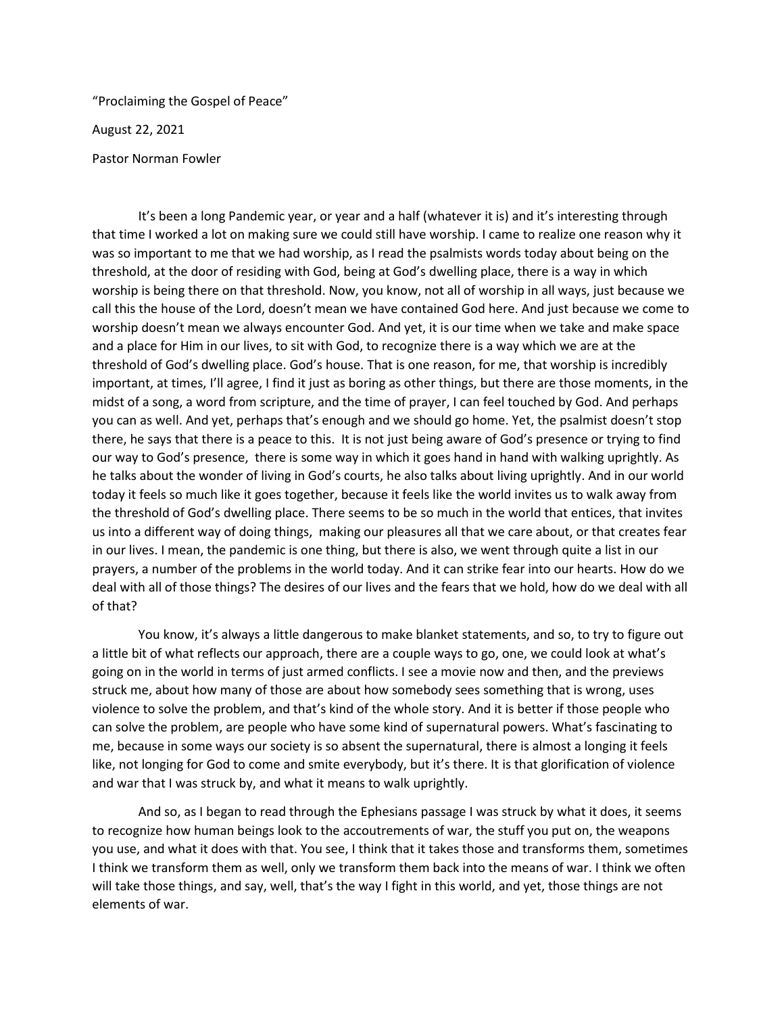"Proclaiming the Gospel of Peace"

August 22, 2021

Pastor Norman Fowler

It's been a long Pandemic year, or year and a half (whatever it is) and it's interesting through that time I worked a lot on making sure we could still have worship. I came to realize one reason why it was so important to me that we had worship, as I read the psalmists words today about being on the threshold, at the door of residing with God, being at God's dwelling place, there is a way in which worship is being there on that threshold. Now, you know, not all of worship in all ways, just because we call this the house of the Lord, doesn't mean we have contained God here. And just because we come to worship doesn't mean we always encounter God. And yet, it is our time when we take and make space and a place for Him in our lives, to sit with God, to recognize there is a way which we are at the threshold of God's dwelling place. God's house. That is one reason, for me, that worship is incredibly important, at times, I'll agree, I find it just as boring as other things, but there are those moments, in the midst of a song, a word from scripture, and the time of prayer, I can feel touched by God. And perhaps you can as well. And yet, perhaps that's enough and we should go home. Yet, the psalmist doesn't stop there, he says that there is a peace to this. It is not just being aware of God's presence or trying to find our way to God's presence, there is some way in which it goes hand in hand with walking uprightly. As he talks about the wonder of living in God's courts, he also talks about living uprightly. And in our world today it feels so much like it goes together, because it feels like the world invites us to walk away from the threshold of God's dwelling place. There seems to be so much in the world that entices, that invites us into a different way of doing things, making our pleasures all that we care about, or that creates fear in our lives. I mean, the pandemic is one thing, but there is also, we went through quite a list in our prayers, a number of the problems in the world today. And it can strike fear into our hearts. How do we deal with all of those things? The desires of our lives and the fears that we hold, how do we deal with all of that?

You know, it's always a little dangerous to make blanket statements, and so, to try to figure out a little bit of what reflects our approach, there are a couple ways to go, one, we could look at what's going on in the world in terms of just armed conflicts. I see a movie now and then, and the previews struck me, about how many of those are about how somebody sees something that is wrong, uses violence to solve the problem, and that's kind of the whole story. And it is better if those people who can solve the problem, are people who have some kind of supernatural powers. What's fascinating to me, because in some ways our society is so absent the supernatural, there is almost a longing it feels like, not longing for God to come and smite everybody, but it's there. It is that glorification of violence and war that I was struck by, and what it means to walk uprightly.

And so, as I began to read through the Ephesians passage I was struck by what it does, it seems to recognize how human beings look to the accoutrements of war, the stuff you put on, the weapons you use, and what it does with that. You see, I think that it takes those and transforms them, sometimes I think we transform them as well, only we transform them back into the means of war. I think we often will take those things, and say, well, that's the way I fight in this world, and yet, those things are not elements of war.